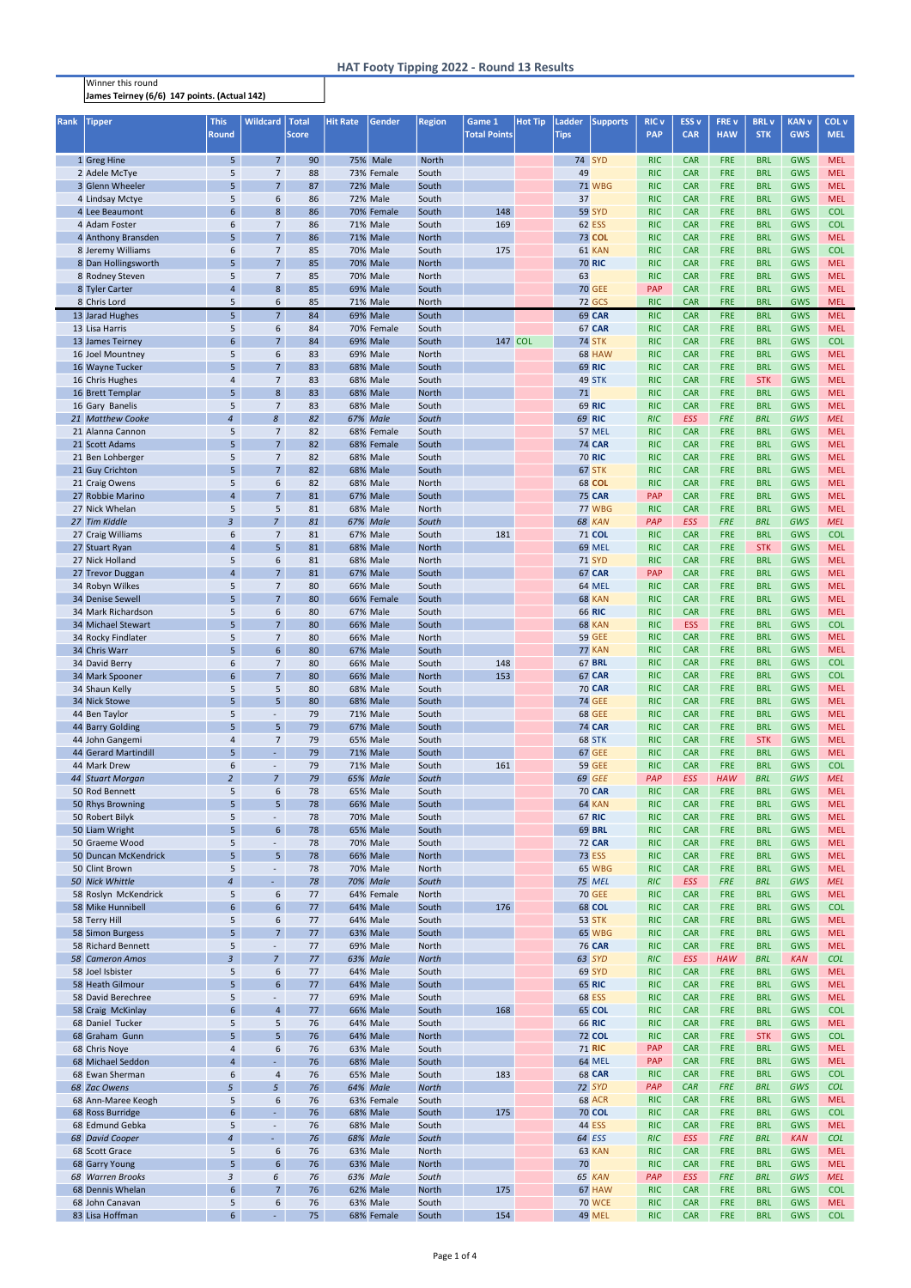## Winner this round James Teirney (6/6) 147 points. (Actual 142)

| Rank | <b>Tipper</b>                             | <b>This</b><br><b>Round</b> | <b>Wildcard</b>                  | <b>Total</b><br><b>Score</b> | <b>Hit Rate</b> | Gender                             | <b>Region</b>         | Game 1<br><b>Total Points</b> | <b>Hot Tip</b> | <b>Ladder</b> | <b>Supports</b>                | <b>RIC v</b><br><b>PAP</b> | ESS <sub>v</sub><br><b>CAR</b> | <b>FREV</b><br><b>HAW</b> | <b>BRL</b> v<br><b>STK</b> | <b>KAN v</b><br><b>GWS</b> | COL v<br><b>MEL</b>      |
|------|-------------------------------------------|-----------------------------|----------------------------------|------------------------------|-----------------|------------------------------------|-----------------------|-------------------------------|----------------|---------------|--------------------------------|----------------------------|--------------------------------|---------------------------|----------------------------|----------------------------|--------------------------|
|      |                                           |                             |                                  |                              |                 |                                    |                       |                               |                | <b>Tips</b>   |                                |                            |                                |                           |                            |                            |                          |
|      | 1 Greg Hine                               | 5 <sub>1</sub>              | 7 <sup>1</sup>                   | 90                           |                 | 75% Male                           | <b>North</b>          |                               |                |               | 74 SYD                         | <b>RIC</b>                 | <b>CAR</b>                     | <b>FRE</b>                | <b>BRL</b>                 | <b>GWS</b>                 | <b>MEL</b>               |
|      | 2 Adele McTye                             | 5                           | 7 <sup>1</sup>                   | 88                           |                 | 73% Female                         | South                 |                               |                | 49            |                                | <b>RIC</b>                 | <b>CAR</b>                     | <b>FRE</b>                | <b>BRL</b>                 | <b>GWS</b>                 | <b>MEL</b>               |
|      | 3 Glenn Wheeler                           | 5                           | 7 <sup>1</sup>                   | 87                           |                 | 72% Male                           | South                 |                               |                |               | <b>71 WBG</b>                  | <b>RIC</b>                 | <b>CAR</b>                     | <b>FRE</b>                | <b>BRL</b>                 | <b>GWS</b>                 | <b>MEL</b>               |
|      | 4 Lindsay Mctye                           | 5                           | 6                                | 86                           |                 | 72% Male                           | South                 |                               |                | 37            |                                | <b>RIC</b>                 | <b>CAR</b>                     | <b>FRE</b>                | <b>BRL</b>                 | GWS                        | <b>MEL</b>               |
|      | 4 Lee Beaumont                            | 6                           | 8                                | 86                           |                 | 70% Female                         | South                 | 148                           |                |               | <b>59 SYD</b>                  | <b>RIC</b>                 | <b>CAR</b>                     | <b>FRE</b>                | <b>BRL</b>                 | <b>GWS</b>                 | <b>COL</b>               |
|      | 4 Adam Foster                             | 6                           | $\overline{7}$                   | 86                           |                 | 71% Male                           | South                 | 169                           |                |               | <b>62 ESS</b>                  | <b>RIC</b>                 | <b>CAR</b>                     | <b>FRE</b>                | <b>BRL</b>                 | <b>GWS</b>                 | <b>COL</b>               |
|      | 4 Anthony Bransden<br>8 Jeremy Williams   | 5<br>6                      | 7 <sup>2</sup><br>7 <sup>2</sup> | 86<br>85                     |                 | <b>71% Male</b><br><b>70% Male</b> | <b>North</b><br>South | 175                           |                |               | <b>73 COL</b><br>61 KAN        | <b>RIC</b><br><b>RIC</b>   | <b>CAR</b><br><b>CAR</b>       | <b>FRE</b><br><b>FRE</b>  | <b>BRL</b><br><b>BRL</b>   | GWS<br><b>GWS</b>          | <b>MEL</b><br><b>COL</b> |
|      | 8 Dan Hollingsworth                       | 5                           | 7 <sup>7</sup>                   | 85                           |                 | <b>70% Male</b>                    | <b>North</b>          |                               |                |               | <b>70 RIC</b>                  | <b>RIC</b>                 | <b>CAR</b>                     | <b>FRE</b>                | <b>BRL</b>                 | GWS                        | <b>MEL</b>               |
|      | 8 Rodney Steven                           | 5                           | $\overline{7}$                   | 85                           |                 | 70% Male                           | North                 |                               |                | 63            |                                | <b>RIC</b>                 | <b>CAR</b>                     | FRE                       | <b>BRL</b>                 | <b>GWS</b>                 | <b>MEL</b>               |
|      | 8 Tyler Carter                            | $\overline{\mathbf{r}}$     | 8                                | 85                           |                 | 69% Male                           | South                 |                               |                |               | <b>70 GEE</b>                  | <b>PAP</b>                 | <b>CAR</b>                     | FRE                       | <b>BRL</b>                 | GWS                        | <b>MEL</b>               |
|      | 8 Chris Lord                              | 5                           | 6                                | 85                           |                 | <b>71% Male</b>                    | <b>North</b>          |                               |                |               | <b>72 GCS</b>                  | <b>RIC</b>                 | <b>CAR</b>                     | FRE                       | <b>BRL</b>                 | <b>GWS</b>                 | <b>MEL</b>               |
|      | 13 Jarad Hughes                           | 5                           | 7 <sup>7</sup>                   | 84                           |                 | 69% Male                           | South                 |                               |                |               | <b>69 CAR</b>                  | RIC                        | <b>CAR</b>                     | <b>FRE</b>                | <b>BRL</b>                 | <b>GWS</b>                 | <b>MEL</b>               |
|      | 13 Lisa Harris                            | 5                           | 6                                | 84                           |                 | 70% Female                         | South                 |                               |                |               | 67 CAR                         | <b>RIC</b>                 | <b>CAR</b>                     | <b>FRE</b>                | <b>BRL</b>                 | <b>GWS</b>                 | <b>MEL</b>               |
|      | 13 James Teirney                          | 6                           | $\overline{7}$                   | 84                           |                 | 69% Male                           | South                 | 147 COL                       |                |               | <b>74 STK</b>                  | <b>RIC</b>                 | <b>CAR</b>                     | <b>FRE</b>                | <b>BRL</b>                 | GWS                        | <b>COL</b>               |
|      | 16 Joel Mountney                          | 5                           | 6                                | 83                           |                 | 69% Male                           | North                 |                               |                |               | 68 HAW                         | <b>RIC</b>                 | <b>CAR</b>                     | <b>FRE</b>                | <b>BRL</b>                 | GWS                        | <b>MEL</b>               |
|      | 16 Wayne Tucker                           | 5                           | 7 <sup>7</sup>                   | 83                           |                 | 68% Male                           | South                 |                               |                |               | <b>69 RIC</b>                  | <b>RIC</b>                 | <b>CAR</b>                     | <b>FRE</b>                | <b>BRL</b>                 | GWS                        | <b>MEL</b>               |
|      | 16 Chris Hughes<br>16 Brett Templar       | 4<br>5                      | $\overline{7}$<br>8              | 83<br>83                     |                 | <b>68% Male</b><br>68% Male        | South<br><b>North</b> |                               |                | 71            | 49 STK                         | <b>RIC</b><br><b>RIC</b>   | <b>CAR</b><br><b>CAR</b>       | <b>FRE</b><br><b>FRE</b>  | <b>STK</b><br><b>BRL</b>   | <b>GWS</b><br>GWS          | <b>MEL</b><br><b>MEL</b> |
|      | 16 Gary Banelis                           | 5                           | $\overline{7}$                   | 83                           |                 | 68% Male                           | South                 |                               |                |               | <b>69 RIC</b>                  | <b>RIC</b>                 | <b>CAR</b>                     | FRE                       | <b>BRL</b>                 | GWS                        | <b>MEL</b>               |
|      | 21 Matthew Cooke                          | $\overline{a}$              | 8                                | 82                           |                 | 67% Male                           | South                 |                               |                |               | <b>69 RIC</b>                  | RIC                        | <b>ESS</b>                     | <b>FRE</b>                | <b>BRL</b>                 | GWS                        | <b>MEL</b>               |
|      | 21 Alanna Cannon                          | 5                           | 7                                | 82                           |                 | 68% Female                         | South                 |                               |                |               | 57 MEL                         | <b>RIC</b>                 | <b>CAR</b>                     | FRE                       | <b>BRL</b>                 | GWS                        | <b>MEL</b>               |
|      | 21 Scott Adams                            | 5                           | 7 <sup>2</sup>                   | 82                           |                 | 68% Female                         | South                 |                               |                |               | <b>74 CAR</b>                  | <b>RIC</b>                 | <b>CAR</b>                     | <b>FRE</b>                | <b>BRL</b>                 | GWS                        | <b>MEL</b>               |
|      | 21 Ben Lohberger                          | 5                           | $\overline{7}$                   | 82                           |                 | 68% Male                           | South                 |                               |                |               | <b>70 RIC</b>                  | <b>RIC</b>                 | <b>CAR</b>                     | <b>FRE</b>                | <b>BRL</b>                 | <b>GWS</b>                 | <b>MEL</b>               |
|      | 21 Guy Crichton                           | 5                           | 7 <sup>2</sup>                   | 82                           |                 | <b>68% Male</b>                    | South                 |                               |                |               | 67 STK                         | <b>RIC</b>                 | <b>CAR</b>                     | <b>FRE</b>                | <b>BRL</b>                 | <b>GWS</b>                 | <b>MEL</b>               |
|      | 21 Craig Owens                            | 5                           | 6                                | 82                           |                 | <b>68% Male</b>                    | <b>North</b>          |                               |                |               | <b>68 COL</b>                  | <b>RIC</b>                 | <b>CAR</b>                     | <b>FRE</b>                | <b>BRL</b>                 | GWS                        | <b>MEL</b>               |
|      | 27 Robbie Marino                          | $\overline{4}$              | 7 <sup>1</sup>                   | 81                           |                 | <b>67% Male</b>                    | South                 |                               |                |               | <b>75 CAR</b>                  | <b>PAP</b>                 | <b>CAR</b>                     | <b>FRE</b>                | <b>BRL</b>                 | GWS                        | <b>MEL</b>               |
|      | 27 Nick Whelan                            | 5<br>$\overline{3}$         | 5<br>$\overline{7}$              | 81<br>81                     |                 | <b>68% Male</b>                    | North                 |                               |                |               | 77 WBG                         | <b>RIC</b><br>PAP          | <b>CAR</b>                     | FRE<br><b>FRE</b>         | <b>BRL</b><br><b>BRL</b>   | <b>GWS</b><br>GWS          | <b>MEL</b><br><b>MEL</b> |
|      | 27 Tim Kiddle<br>27 Craig Williams        | 6                           | $\overline{7}$                   | 81                           |                 | 67% Male<br>67% Male               | South<br>South        | 181                           |                |               | <b>68 KAN</b><br>71 COL        | <b>RIC</b>                 | <b>ESS</b><br><b>CAR</b>       | <b>FRE</b>                | <b>BRL</b>                 | GWS                        | <b>COL</b>               |
|      | 27 Stuart Ryan                            | 4                           | 5 <sup>1</sup>                   | 81                           |                 | 68% Male                           | <b>North</b>          |                               |                |               | 69 MEL                         | <b>RIC</b>                 | <b>CAR</b>                     | <b>FRE</b>                | <b>STK</b>                 | GWS                        | <b>MEL</b>               |
|      | 27 Nick Holland                           | 5                           | 6                                | 81                           |                 | <b>68% Male</b>                    | <b>North</b>          |                               |                |               | <b>71 SYD</b>                  | <b>RIC</b>                 | <b>CAR</b>                     | <b>FRE</b>                | <b>BRL</b>                 | GWS                        | <b>MEL</b>               |
|      | 27 Trevor Duggan                          | $\overline{4}$              | 7 <sup>1</sup>                   | 81                           |                 | <b>67% Male</b>                    | South                 |                               |                |               | 67 CAR                         | <b>PAP</b>                 | <b>CAR</b>                     | <b>FRE</b>                | <b>BRL</b>                 | GWS                        | <b>MEL</b>               |
|      | 34 Robyn Wilkes                           | 5                           | $\overline{7}$                   | 80                           |                 | <b>66% Male</b>                    | South                 |                               |                |               | 64 MEL                         | <b>RIC</b>                 | <b>CAR</b>                     | <b>FRE</b>                | <b>BRL</b>                 | GWS                        | <b>MEL</b>               |
|      | 34 Denise Sewell                          | 5                           | 7 <sup>1</sup>                   | 80                           |                 | 66% Female                         | South                 |                               |                |               | 68 KAN                         | <b>RIC</b>                 | <b>CAR</b>                     | <b>FRE</b>                | <b>BRL</b>                 | <b>GWS</b>                 | <b>MEL</b>               |
|      | 34 Mark Richardson                        | 5                           | 6                                | 80                           |                 | 67% Male                           | South                 |                               |                |               | <b>66 RIC</b>                  | <b>RIC</b>                 | <b>CAR</b>                     | <b>FRE</b>                | <b>BRL</b>                 | <b>GWS</b>                 | <b>MEL</b>               |
|      | 34 Michael Stewart                        | 5 <sup>5</sup>              | 7 <sup>1</sup>                   | 80                           |                 | <b>66% Male</b>                    | South                 |                               |                |               | 68 KAN                         | <b>RIC</b>                 | <b>ESS</b>                     | <b>FRE</b>                | <b>BRL</b>                 | <b>GWS</b>                 | <b>COL</b>               |
|      | 34 Rocky Findlater                        | 5                           | $\overline{7}$                   | 80                           |                 | <b>66% Male</b>                    | North                 |                               |                |               | <b>59 GEE</b>                  | <b>RIC</b>                 | <b>CAR</b>                     | <b>FRE</b>                | <b>BRL</b>                 | <b>GWS</b>                 | <b>MEL</b>               |
|      | 34 Chris Warr<br>34 David Berry           | 5<br>6                      | 6 <sup>1</sup><br>$\overline{7}$ | 80<br>80                     |                 | <b>67% Male</b><br><b>66% Male</b> | South<br>South        | 148                           |                |               | 77 KAN<br><b>67 BRL</b>        | <b>RIC</b><br><b>RIC</b>   | <b>CAR</b><br><b>CAR</b>       | <b>FRE</b><br><b>FRE</b>  | <b>BRL</b><br><b>BRL</b>   | <b>GWS</b><br><b>GWS</b>   | <b>MEL</b><br><b>COL</b> |
|      | 34 Mark Spooner                           | 6                           | 7 <sup>7</sup>                   | 80                           |                 | <b>66% Male</b>                    | <b>North</b>          | 153                           |                |               | 67 CAR                         | <b>RIC</b>                 | <b>CAR</b>                     | <b>FRE</b>                | <b>BRL</b>                 | <b>GWS</b>                 | <b>COL</b>               |
|      | 34 Shaun Kelly                            | 5                           | 5                                | 80                           |                 | <b>68% Male</b>                    | South                 |                               |                |               | <b>70 CAR</b>                  | <b>RIC</b>                 | <b>CAR</b>                     | <b>FRE</b>                | <b>BRL</b>                 | <b>GWS</b>                 | <b>MEL</b>               |
|      | 34 Nick Stowe                             | 5                           | 5                                | 80                           |                 | <b>68% Male</b>                    | South                 |                               |                |               | <b>74 GEE</b>                  | <b>RIC</b>                 | <b>CAR</b>                     | <b>FRE</b>                | <b>BRL</b>                 | <b>GWS</b>                 | <b>MEL</b>               |
|      | 44 Ben Taylor                             | 5                           | $\overline{\phantom{a}}$         | 79                           |                 | <b>71% Male</b>                    | South                 |                               |                |               | <b>68 GEE</b>                  | <b>RIC</b>                 | <b>CAR</b>                     | <b>FRE</b>                | <b>BRL</b>                 | <b>GWS</b>                 | <b>MEL</b>               |
|      | 44 Barry Golding                          | 5                           | 5                                | 79                           |                 | 67% Male                           | South                 |                               |                |               | <b>74 CAR</b>                  | <b>RIC</b>                 | <b>CAR</b>                     | <b>FRE</b>                | <b>BRL</b>                 | <b>GWS</b>                 | <b>MEL</b>               |
|      | 44 John Gangemi                           | 4                           | $\overline{7}$                   | 79                           |                 | 65% Male                           | South                 |                               |                |               | 68 STK                         | <b>RIC</b>                 | <b>CAR</b>                     | <b>FRE</b>                | <b>STK</b>                 | <b>GWS</b>                 | <b>MEL</b>               |
|      | 44 Gerard Martindill                      | 5 <sup>5</sup>              | ÷.                               | 79                           |                 | <b>71% Male</b>                    | South                 |                               |                |               | <b>67 GEE</b>                  | <b>RIC</b>                 | <b>CAR</b>                     | <b>FRE</b>                | <b>BRL</b>                 | <b>GWS</b>                 | <b>MEL</b>               |
|      | 44 Mark Drew                              | 6<br>$\overline{2}$         | $\overline{\phantom{a}}$         | 79                           |                 | 71% Male                           | South                 | 161                           |                |               | <b>59 GEE</b>                  | <b>RIC</b>                 | <b>CAR</b>                     | <b>FRE</b>                | <b>BRL</b><br><b>BRL</b>   | <b>GWS</b>                 | <b>COL</b>               |
|      | 44 Stuart Morgan<br>50 Rod Bennett        | 5                           | $\overline{7}$<br>6              | 79<br>78                     |                 | 65% Male<br>65% Male               | South<br>South        |                               |                |               | <b>69 GEE</b><br><b>70 CAR</b> | PAP<br><b>RIC</b>          | ESS<br><b>CAR</b>              | <b>HAW</b><br><b>FRE</b>  | <b>BRL</b>                 | GWS<br><b>GWS</b>          | <b>MEL</b><br><b>MEL</b> |
|      | 50 Rhys Browning                          | 5                           | 5                                | 78                           |                 | 66% Male                           | South                 |                               |                |               | 64 KAN                         | <b>RIC</b>                 | <b>CAR</b>                     | <b>FRE</b>                | <b>BRL</b>                 | <b>GWS</b>                 | <b>MEL</b>               |
|      | 50 Robert Bilyk                           | 5                           | $\overline{\phantom{a}}$         | 78                           |                 | <b>70% Male</b>                    | South                 |                               |                |               | <b>67 RIC</b>                  | <b>RIC</b>                 | <b>CAR</b>                     | <b>FRE</b>                | <b>BRL</b>                 | <b>GWS</b>                 | <b>MEL</b>               |
|      | 50 Liam Wright                            | 5                           | $6\overline{6}$                  | 78                           |                 | 65% Male                           | South                 |                               |                |               | <b>69 BRL</b>                  | <b>RIC</b>                 | <b>CAR</b>                     | <b>FRE</b>                | <b>BRL</b>                 | <b>GWS</b>                 | <b>MEL</b>               |
|      | 50 Graeme Wood                            | 5                           | $\overline{\phantom{a}}$         | 78                           |                 | <b>70% Male</b>                    | South                 |                               |                |               | <b>72 CAR</b>                  | <b>RIC</b>                 | <b>CAR</b>                     | <b>FRE</b>                | <b>BRL</b>                 | <b>GWS</b>                 | <b>MEL</b>               |
|      | 50 Duncan McKendrick                      | 5                           | 5                                | 78                           |                 | 66% Male                           | <b>North</b>          |                               |                |               | <b>73 ESS</b>                  | <b>RIC</b>                 | <b>CAR</b>                     | <b>FRE</b>                | <b>BRL</b>                 | <b>GWS</b>                 | <b>MEL</b>               |
|      | 50 Clint Brown                            | 5                           | $\blacksquare$                   | 78                           |                 | 70% Male                           | <b>North</b>          |                               |                |               | <b>65 WBG</b>                  | <b>RIC</b>                 | <b>CAR</b>                     | <b>FRE</b>                | <b>BRL</b>                 | <b>GWS</b>                 | <b>MEL</b>               |
|      | 50 Nick Whittle                           | $\overline{4}$              | $\omega$                         | 78                           |                 | 70% Male                           | South                 |                               |                |               | 75 MEL                         | RIC                        | <b>ESS</b>                     | <b>FRE</b>                | <b>BRL</b>                 | GWS                        | <b>MEL</b>               |
|      | 58 Roslyn McKendrick<br>58 Mike Hunnibell | 5<br>$6\phantom{1}$         | 6<br>6                           | 77<br>77                     |                 | 64% Female<br>64% Male             | <b>North</b><br>South | 176                           |                |               | <b>70 GEE</b><br><b>68 COL</b> | <b>RIC</b><br><b>RIC</b>   | <b>CAR</b><br><b>CAR</b>       | FRE<br><b>FRE</b>         | <b>BRL</b><br><b>BRL</b>   | <b>GWS</b><br><b>GWS</b>   | <b>MEL</b><br><b>COL</b> |
|      | 58 Terry Hill                             | 5                           | 6                                | 77                           |                 | 64% Male                           | South                 |                               |                |               | 53 STK                         | <b>RIC</b>                 | <b>CAR</b>                     | <b>FRE</b>                | <b>BRL</b>                 | <b>GWS</b>                 | <b>MEL</b>               |
|      | 58 Simon Burgess                          | 5                           | $\overline{7}$                   | 77                           |                 | <b>63% Male</b>                    | South                 |                               |                |               | <b>65 WBG</b>                  | <b>RIC</b>                 | <b>CAR</b>                     | <b>FRE</b>                | <b>BRL</b>                 | GWS                        | <b>MEL</b>               |
|      | 58 Richard Bennett                        | 5                           | $\overline{\phantom{a}}$         | 77                           |                 | 69% Male                           | <b>North</b>          |                               |                |               | <b>76 CAR</b>                  | <b>RIC</b>                 | <b>CAR</b>                     | <b>FRE</b>                | <b>BRL</b>                 | GWS                        | <b>MEL</b>               |
|      | <b>58 Cameron Amos</b>                    | $\mathfrak{Z}$              | $\overline{7}$                   | 77                           |                 | 63% Male                           | <b>North</b>          |                               |                |               | 63 SYD                         | RIC                        | <b>ESS</b>                     | <b>HAW</b>                | <b>BRL</b>                 | <b>KAN</b>                 | <b>COL</b>               |
|      | 58 Joel Isbister                          | 5                           | 6                                | 77                           |                 | 64% Male                           | South                 |                               |                |               | 69 SYD                         | <b>RIC</b>                 | <b>CAR</b>                     | <b>FRE</b>                | <b>BRL</b>                 | <b>GWS</b>                 | <b>MEL</b>               |
|      | 58 Heath Gilmour                          | 5                           | $6\phantom{1}$                   | 77                           |                 | 64% Male                           | South                 |                               |                |               | <b>65 RIC</b>                  | <b>RIC</b>                 | <b>CAR</b>                     | <b>FRE</b>                | <b>BRL</b>                 | <b>GWS</b>                 | <b>MEL</b>               |
|      | 58 David Berechree                        | 5                           | $\overline{\phantom{a}}$         | 77                           |                 | 69% Male                           | South                 |                               |                |               | <b>68 ESS</b>                  | <b>RIC</b>                 | <b>CAR</b>                     | <b>FRE</b>                | <b>BRL</b>                 | <b>GWS</b>                 | <b>MEL</b>               |
|      | 58 Craig McKinlay                         | $6\phantom{1}$              | $\overline{a}$                   | 77                           |                 | <b>66% Male</b>                    | South                 | 168                           |                |               | <b>65 COL</b>                  | <b>RIC</b>                 | <b>CAR</b>                     | <b>FRE</b>                | <b>BRL</b>                 | <b>GWS</b>                 | <b>COL</b>               |
|      | 68 Daniel Tucker                          | 5                           | 5                                | 76                           |                 | 64% Male                           | South                 |                               |                |               | <b>66 RIC</b>                  | <b>RIC</b>                 | <b>CAR</b>                     | <b>FRE</b>                | <b>BRL</b>                 | <b>GWS</b>                 | <b>MEL</b>               |
|      | 68 Graham Gunn                            | 5                           | 5<br>6                           | 76<br>76                     |                 | 64% Male<br>63% Male               | <b>North</b><br>South |                               |                |               | <b>72 COL</b><br><b>71 RIC</b> | <b>RIC</b><br>PAP          | <b>CAR</b><br><b>CAR</b>       | <b>FRE</b><br><b>FRE</b>  | <b>STK</b><br><b>BRL</b>   | <b>GWS</b><br><b>GWS</b>   | <b>COL</b><br><b>MEL</b> |
|      | 68 Chris Noye<br>68 Michael Seddon        | 4<br>$\overline{4}$         | $\sim$                           | 76                           |                 | <b>68% Male</b>                    | South                 |                               |                |               | 64 MEL                         | PAP                        | <b>CAR</b>                     | <b>FRE</b>                | <b>BRL</b>                 | <b>GWS</b>                 | <b>MEL</b>               |
|      | 68 Ewan Sherman                           | 6                           | 4                                | 76                           |                 | <b>65% Male</b>                    | South                 | 183                           |                |               | <b>68 CAR</b>                  | <b>RIC</b>                 | <b>CAR</b>                     | FRE                       | <b>BRL</b>                 | <b>GWS</b>                 | <b>COL</b>               |
|      | 68 Zac Owens                              | 5                           | 5 <sup>1</sup>                   | 76                           |                 | 64% Male                           | <b>North</b>          |                               |                |               | 72 SYD                         | PAP                        | CAR                            | <b>FRE</b>                | <b>BRL</b>                 | GWS                        | <b>COL</b>               |
|      | 68 Ann-Maree Keogh                        | 5                           | 6                                | 76                           |                 | 63% Female                         | South                 |                               |                |               | 68 ACR                         | <b>RIC</b>                 | <b>CAR</b>                     | <b>FRE</b>                | <b>BRL</b>                 | <b>GWS</b>                 | <b>MEL</b>               |
|      | 68 Ross Burridge                          | $\boldsymbol{6}$            | $\omega$                         | 76                           |                 | 68% Male                           | South                 | 175                           |                |               | <b>70 COL</b>                  | <b>RIC</b>                 | <b>CAR</b>                     | <b>FRE</b>                | <b>BRL</b>                 | <b>GWS</b>                 | <b>COL</b>               |
|      | 68 Edmund Gebka                           | 5                           | $\overline{\phantom{a}}$         | 76                           |                 | 68% Male                           | South                 |                               |                |               | 44 ESS                         | <b>RIC</b>                 | <b>CAR</b>                     | <b>FRE</b>                | <b>BRL</b>                 | <b>GWS</b>                 | <b>MEL</b>               |
|      | <b>68 David Cooper</b>                    | $\overline{4}$              | ◆                                | 76                           |                 | 68% Male                           | South                 |                               |                |               | 64 ESS                         | RIC                        | ESS                            | <b>FRE</b>                | <b>BRL</b>                 | <b>KAN</b>                 | <b>COL</b>               |
|      | 68 Scott Grace                            | 5                           | 6                                | 76                           |                 | 63% Male                           | <b>North</b>          |                               |                |               | 63 KAN                         | <b>RIC</b>                 | <b>CAR</b>                     | <b>FRE</b>                | <b>BRL</b>                 | <b>GWS</b>                 | <b>MEL</b>               |
|      | 68 Garry Young                            | 5 <sub>1</sub>              | 6 <sup>1</sup>                   | 76                           |                 | 63% Male                           | <b>North</b>          |                               |                | 70            |                                | <b>RIC</b>                 | <b>CAR</b>                     | <b>FRE</b>                | <b>BRL</b>                 | <b>GWS</b>                 | <b>MEL</b>               |
|      | 68 Warren Brooks<br>68 Dennis Whelan      | 3<br>6                      | 6<br>7 <sup>1</sup>              | 76<br>76                     |                 | 63% Male<br>62% Male               | South<br><b>North</b> | 175                           |                |               | 65 KAN<br>67 HAW               | PAP<br><b>RIC</b>          | ESS<br><b>CAR</b>              | <b>FRE</b><br><b>FRE</b>  | <b>BRL</b><br><b>BRL</b>   | GWS<br><b>GWS</b>          | <b>MEL</b><br><b>COL</b> |
|      | 68 John Canavan                           | 5                           | 6                                | 76                           |                 | 63% Male                           | South                 |                               |                |               | <b>70 WCE</b>                  | <b>RIC</b>                 | <b>CAR</b>                     | <b>FRE</b>                | <b>BRL</b>                 | <b>GWS</b>                 | <b>MEL</b>               |
|      | 83 Lisa Hoffman                           | $6\phantom{a}$              | $\blacksquare$                   | 75                           |                 | 68% Female                         | South                 | 154                           |                |               | <b>49 MEL</b>                  | <b>RIC</b>                 | <b>CAR</b>                     | <b>FRE</b>                | <b>BRL</b>                 | <b>GWS</b>                 | <b>COL</b>               |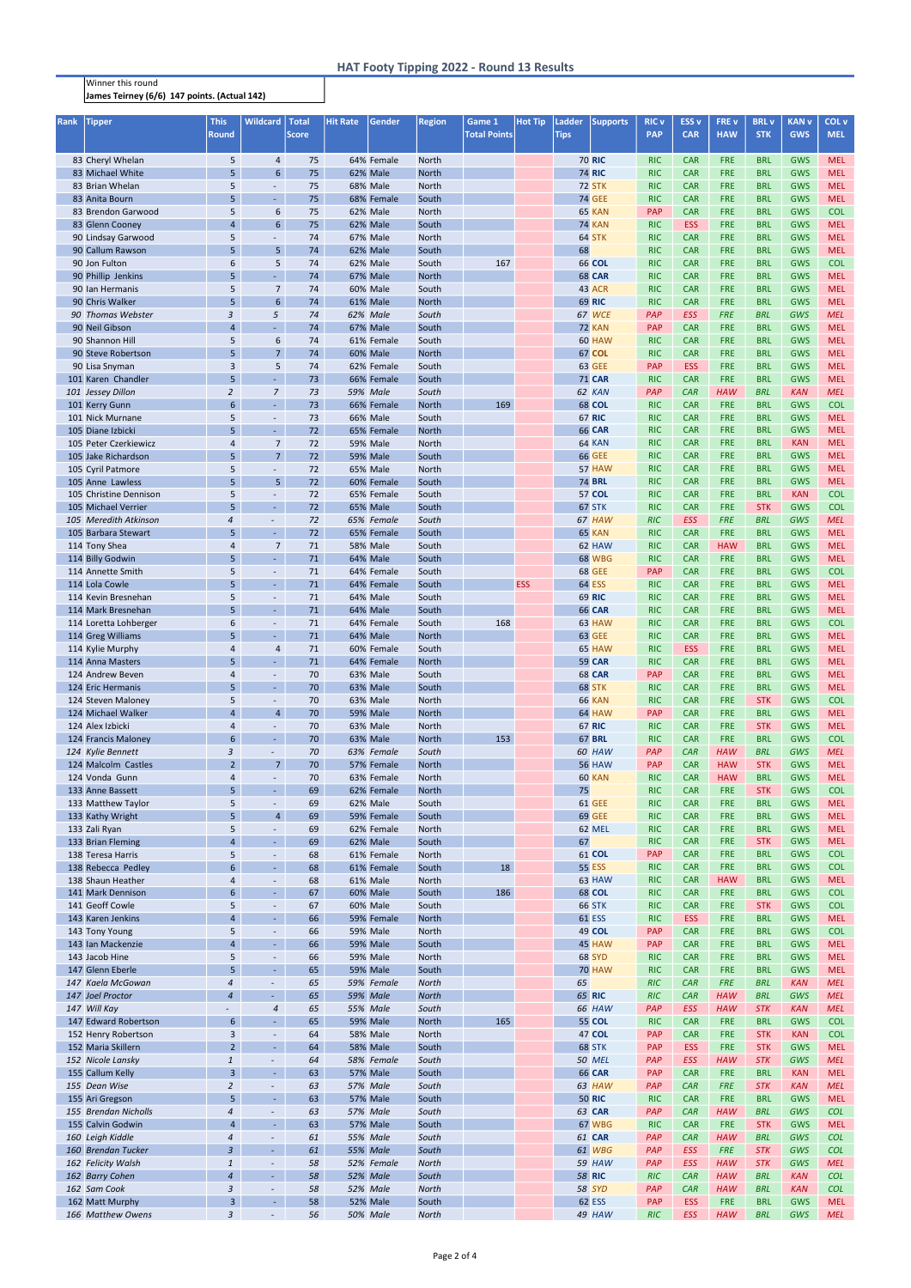## Winner this round James Teirney (6/6) 147 points. (Actual 142)

| <b>Rank</b> | <b>Tipper</b>                              | <b>This</b><br><b>Round</b>    | <b>Wildcard</b>                             | <b>Total</b><br><b>Score</b> | <b>Hit Rate</b> | Gender                        | <b>Region</b>                | Game 1<br><b>Total Points</b> | <b>Hot Tip</b> | Ladder<br><b>Tips</b> | <b>Supports</b>                | <b>RIC v</b><br><b>PAP</b> | ESS <sub>v</sub><br><b>CAR</b> | <b>FREV</b><br><b>HAW</b> | <b>BRL</b> v<br><b>STK</b> | <b>KAN v</b><br><b>GWS</b> | COL v<br><b>MEL</b>      |
|-------------|--------------------------------------------|--------------------------------|---------------------------------------------|------------------------------|-----------------|-------------------------------|------------------------------|-------------------------------|----------------|-----------------------|--------------------------------|----------------------------|--------------------------------|---------------------------|----------------------------|----------------------------|--------------------------|
|             |                                            |                                |                                             |                              |                 |                               |                              |                               |                |                       |                                |                            |                                |                           |                            |                            |                          |
|             | 83 Cheryl Whelan                           | 5                              | $\overline{4}$                              | 75                           |                 | 64% Female                    | <b>North</b>                 |                               |                |                       | <b>70 RIC</b>                  | <b>RIC</b>                 | <b>CAR</b>                     | <b>FRE</b>                | <b>BRL</b>                 | <b>GWS</b>                 | <b>MEL</b>               |
|             | 83 Michael White<br>83 Brian Whelan        | 5<br>5                         | $6\overline{6}$<br>$\overline{\phantom{a}}$ | 75<br>75                     |                 | 62% Male<br>68% Male          | <b>North</b><br><b>North</b> |                               |                |                       | <b>74 RIC</b><br><b>72 STK</b> | <b>RIC</b><br><b>RIC</b>   | <b>CAR</b><br><b>CAR</b>       | <b>FRE</b><br><b>FRE</b>  | <b>BRL</b><br><b>BRL</b>   | <b>GWS</b><br><b>GWS</b>   | <b>MEL</b><br><b>MEL</b> |
|             | 83 Anita Bourn                             | 5                              | $\overline{\phantom{a}}$                    | 75                           |                 | 68% Female                    | South                        |                               |                |                       | <b>74 GEE</b>                  | <b>RIC</b>                 | <b>CAR</b>                     | <b>FRE</b>                | <b>BRL</b>                 | <b>GWS</b>                 | <b>MEL</b>               |
|             | 83 Brendon Garwood                         | 5                              | 6                                           | 75                           |                 | 62% Male                      | North                        |                               |                |                       | 65 KAN                         | PAP                        | <b>CAR</b>                     | <b>FRE</b>                | <b>BRL</b>                 | GWS                        | <b>COL</b>               |
|             | 83 Glenn Cooney                            | $\overline{4}$                 | $6\phantom{1}$                              | 75                           |                 | 62% Male                      | South                        |                               |                |                       | <b>74 KAN</b>                  | <b>RIC</b>                 | <b>ESS</b>                     | <b>FRE</b>                | <b>BRL</b>                 | GWS                        | <b>MEL</b>               |
|             | 90 Lindsay Garwood                         | 5                              | $\overline{\phantom{a}}$                    | 74                           |                 | <b>67% Male</b>               | <b>North</b>                 |                               |                |                       | 64 STK                         | <b>RIC</b>                 | <b>CAR</b>                     | <b>FRE</b>                | <b>BRL</b>                 | <b>GWS</b>                 | <b>MEL</b>               |
|             | 90 Callum Rawson                           | 5                              | 5                                           | 74                           |                 | 62% Male                      | South                        |                               |                | 68                    |                                | <b>RIC</b>                 | <b>CAR</b>                     | <b>FRE</b>                | <b>BRL</b>                 | GWS                        | <b>MEL</b>               |
|             | 90 Jon Fulton                              | 6                              | 5                                           | 74                           |                 | 62% Male                      | South                        | 167                           |                |                       | <b>66 COL</b>                  | <b>RIC</b>                 | <b>CAR</b>                     | <b>FRE</b>                | <b>BRL</b>                 | GWS                        | <b>COL</b>               |
|             | 90 Phillip Jenkins                         | 5                              | $\blacksquare$                              | 74                           |                 | <b>67% Male</b>               | <b>North</b>                 |                               |                |                       | <b>68 CAR</b>                  | <b>RIC</b>                 | <b>CAR</b>                     | FRE                       | <b>BRL</b>                 | <b>GWS</b>                 | <b>MEL</b>               |
|             | 90 Ian Hermanis                            | 5                              | 7                                           | 74                           |                 | <b>60% Male</b>               | South                        |                               |                |                       | 43 ACR                         | <b>RIC</b>                 | <b>CAR</b>                     | <b>FRE</b>                | <b>BRL</b>                 | <b>GWS</b>                 | <b>MEL</b>               |
|             | 90 Chris Walker                            | 5                              | $6\overline{6}$                             | 74                           |                 | <b>61% Male</b>               | <b>North</b>                 |                               |                |                       | <b>69 RIC</b>                  | <b>RIC</b>                 | <b>CAR</b>                     | <b>FRE</b>                | <b>BRL</b>                 | GWS                        | <b>MEL</b>               |
|             | 90 Thomas Webster                          | 3                              | 5                                           | 74                           |                 | 62% Male                      | South                        |                               |                |                       | 67 WCE<br>72 KAN               | PAP<br><b>PAP</b>          | <b>ESS</b>                     | <b>FRE</b>                | <b>BRL</b><br><b>BRL</b>   | GWS                        | <b>MEL</b><br><b>MEL</b> |
|             | 90 Neil Gibson<br>90 Shannon Hill          | $\overline{4}$<br>5            | $\blacksquare$<br>6                         | 74<br>74                     |                 | <b>67% Male</b><br>61% Female | South<br>South               |                               |                |                       | 60 HAW                         | <b>RIC</b>                 | <b>CAR</b><br><b>CAR</b>       | <b>FRE</b><br><b>FRE</b>  | <b>BRL</b>                 | GWS<br>GWS                 | <b>MEL</b>               |
|             | 90 Steve Robertson                         | 5                              | $\overline{7}$                              | 74                           |                 | <b>60% Male</b>               | <b>North</b>                 |                               |                |                       | <b>67 COL</b>                  | <b>RIC</b>                 | <b>CAR</b>                     | <b>FRE</b>                | <b>BRL</b>                 | GWS                        | <b>MEL</b>               |
|             | 90 Lisa Snyman                             | 3                              | 5                                           | 74                           |                 | 62% Female                    | South                        |                               |                |                       | <b>63 GEE</b>                  | <b>PAP</b>                 | <b>ESS</b>                     | <b>FRE</b>                | <b>BRL</b>                 | <b>GWS</b>                 | <b>MEL</b>               |
|             | 101 Karen Chandler                         | 5                              | $\blacksquare$                              | 73                           |                 | 66% Female                    | South                        |                               |                |                       | <b>71 CAR</b>                  | <b>RIC</b>                 | <b>CAR</b>                     | FRE                       | <b>BRL</b>                 | <b>GWS</b>                 | <b>MEL</b>               |
|             | 101 Jessey Dillon                          | $\overline{2}$                 | $\overline{7}$                              | 73                           |                 | 59% Male                      | South                        |                               |                |                       | 62 KAN                         | PAP                        | <b>CAR</b>                     | <b>HAW</b>                | <b>BRL</b>                 | <b>KAN</b>                 | <b>MEL</b>               |
|             | 101 Kerry Gunn                             | 6                              | $\blacksquare$                              | 73                           |                 | 66% Female                    | <b>North</b>                 | 169                           |                |                       | <b>68 COL</b>                  | <b>RIC</b>                 | <b>CAR</b>                     | FRE                       | <b>BRL</b>                 | <b>GWS</b>                 | <b>COL</b>               |
|             | 101 Nick Murnane                           | 5                              | $\overline{\phantom{a}}$                    | 73                           |                 | <b>66% Male</b>               | South                        |                               |                |                       | <b>67 RIC</b>                  | <b>RIC</b>                 | <b>CAR</b>                     | <b>FRE</b>                | <b>BRL</b>                 | <b>GWS</b>                 | <b>MEL</b>               |
|             | 105 Diane Izbicki                          | 5 <sup>5</sup>                 | $\blacksquare$                              | 72                           |                 | 65% Female                    | <b>North</b>                 |                               |                |                       | <b>66 CAR</b>                  | <b>RIC</b>                 | <b>CAR</b>                     | <b>FRE</b>                | <b>BRL</b>                 | GWS                        | <b>MEL</b>               |
|             | 105 Peter Czerkiewicz                      | 4                              | $\overline{7}$                              | 72                           |                 | <b>59% Male</b>               | <b>North</b>                 |                               |                |                       | 64 KAN                         | <b>RIC</b>                 | <b>CAR</b>                     | <b>FRE</b>                | <b>BRL</b>                 | <b>KAN</b>                 | <b>MEL</b>               |
|             | 105 Jake Richardson                        | 5 <sup>5</sup>                 | 7 <sup>2</sup>                              | 72                           |                 | <b>59% Male</b>               | South                        |                               |                |                       | <b>66 GEE</b>                  | <b>RIC</b>                 | <b>CAR</b>                     | <b>FRE</b>                | <b>BRL</b>                 | <b>GWS</b>                 | <b>MEL</b>               |
|             | 105 Cyril Patmore                          | 5                              | $\overline{\phantom{a}}$                    | 72                           |                 | 65% Male                      | <b>North</b>                 |                               |                |                       | 57 HAW                         | <b>RIC</b>                 | <b>CAR</b>                     | <b>FRE</b>                | <b>BRL</b>                 | <b>GWS</b>                 | <b>MEL</b>               |
|             | 105 Anne Lawless<br>105 Christine Dennison | 5                              | 5 <sup>1</sup>                              | 72                           |                 | 60% Female                    | South                        |                               |                |                       | <b>74 BRL</b><br>57 COL        | <b>RIC</b><br><b>RIC</b>   | <b>CAR</b><br><b>CAR</b>       | <b>FRE</b><br><b>FRE</b>  | <b>BRL</b><br><b>BRL</b>   | <b>GWS</b><br><b>KAN</b>   | <b>MEL</b><br><b>COL</b> |
|             | 105 Michael Verrier                        | 5<br>5                         | $\overline{\phantom{a}}$<br>$\blacksquare$  | 72<br>72                     |                 | 65% Female<br><b>65% Male</b> | South<br>South               |                               |                |                       | 67 STK                         | <b>RIC</b>                 | <b>CAR</b>                     | <b>FRE</b>                | <b>STK</b>                 | <b>GWS</b>                 | <b>COL</b>               |
|             | 105 Meredith Atkinson                      | 4                              | $\overline{\phantom{a}}$                    | 72                           |                 | 65% Female                    | South                        |                               |                |                       | 67 HAW                         | <b>RIC</b>                 | <b>ESS</b>                     | <b>FRE</b>                | <b>BRL</b>                 | GWS                        | <b>MEL</b>               |
|             | 105 Barbara Stewart                        | 5                              | $\sim$                                      | 72                           |                 | 65% Female                    | South                        |                               |                |                       | 65 KAN                         | <b>RIC</b>                 | <b>CAR</b>                     | <b>FRE</b>                | <b>BRL</b>                 | <b>GWS</b>                 | <b>MEL</b>               |
|             | 114 Tony Shea                              | 4                              | 7                                           | 71                           |                 | <b>58% Male</b>               | South                        |                               |                |                       | 62 HAW                         | <b>RIC</b>                 | <b>CAR</b>                     | <b>HAW</b>                | <b>BRL</b>                 | <b>GWS</b>                 | <b>MEL</b>               |
|             | 114 Billy Godwin                           | 5                              | $\omega$                                    | 71                           |                 | 64% Male                      | South                        |                               |                |                       | <b>68 WBG</b>                  | <b>RIC</b>                 | <b>CAR</b>                     | <b>FRE</b>                | <b>BRL</b>                 | <b>GWS</b>                 | <b>MEL</b>               |
|             | 114 Annette Smith                          | 5                              | $\overline{\phantom{a}}$                    | 71                           |                 | 64% Female                    | South                        |                               |                |                       | <b>68 GEE</b>                  | PAP                        | <b>CAR</b>                     | <b>FRE</b>                | <b>BRL</b>                 | <b>GWS</b>                 | <b>COL</b>               |
|             | 114 Lola Cowle                             | 5                              | $\omega$                                    | 71                           |                 | 64% Female                    | South                        |                               | <b>ESS</b>     |                       | <b>64 ESS</b>                  | <b>RIC</b>                 | <b>CAR</b>                     | <b>FRE</b>                | <b>BRL</b>                 | GWS                        | <b>MEL</b>               |
|             | 114 Kevin Bresnehan                        | 5                              | $\overline{\phantom{a}}$                    | 71                           |                 | 64% Male                      | South                        |                               |                |                       | <b>69 RIC</b>                  | <b>RIC</b>                 | <b>CAR</b>                     | <b>FRE</b>                | <b>BRL</b>                 | <b>GWS</b>                 | <b>MEL</b>               |
|             | 114 Mark Bresnehan                         | 5                              | $\omega$                                    | 71                           |                 | 64% Male                      | South                        |                               |                |                       | <b>66 CAR</b>                  | <b>RIC</b>                 | <b>CAR</b>                     | <b>FRE</b>                | <b>BRL</b>                 | <b>GWS</b>                 | <b>MEL</b>               |
|             | 114 Loretta Lohberger                      | 6                              | $\overline{\phantom{a}}$                    | 71                           |                 | 64% Female                    | South                        | 168                           |                |                       | 63 HAW                         | <b>RIC</b>                 | <b>CAR</b>                     | <b>FRE</b>                | <b>BRL</b>                 | <b>GWS</b>                 | <b>COL</b>               |
|             | 114 Greg Williams                          | 5                              | $\blacksquare$                              | 71                           |                 | 64% Male                      | <b>North</b>                 |                               |                |                       | <b>63 GEE</b>                  | <b>RIC</b>                 | <b>CAR</b>                     | <b>FRE</b>                | <b>BRL</b>                 | <b>GWS</b>                 | <b>MEL</b>               |
|             | 114 Kylie Murphy                           | 4                              | 4                                           | 71                           |                 | 60% Female                    | South                        |                               |                |                       | 65 HAW                         | <b>RIC</b>                 | <b>ESS</b>                     | <b>FRE</b>                | <b>BRL</b>                 | <b>GWS</b>                 | <b>MEL</b>               |
|             | 114 Anna Masters                           | 5                              | $\omega$                                    | 71                           |                 | 64% Female                    | <b>North</b>                 |                               |                |                       | <b>59 CAR</b>                  | <b>RIC</b>                 | <b>CAR</b>                     | <b>FRE</b>                | <b>BRL</b>                 | <b>GWS</b>                 | <b>MEL</b>               |
|             | 124 Andrew Beven<br>124 Eric Hermanis      | 4<br>5                         | $\overline{\phantom{a}}$<br>$\blacksquare$  | 70<br>70                     |                 | 63% Male<br>63% Male          | South<br>South               |                               |                |                       | <b>68 CAR</b><br>68 STK        | PAP<br><b>RIC</b>          | <b>CAR</b><br><b>CAR</b>       | <b>FRE</b><br><b>FRE</b>  | <b>BRL</b><br><b>BRL</b>   | <b>GWS</b><br><b>GWS</b>   | <b>MEL</b><br><b>MEL</b> |
|             | 124 Steven Maloney                         | 5                              | $\overline{\phantom{a}}$                    | 70                           |                 | 63% Male                      | <b>North</b>                 |                               |                |                       | <b>66 KAN</b>                  | <b>RIC</b>                 | <b>CAR</b>                     | <b>FRE</b>                | <b>STK</b>                 | <b>GWS</b>                 | <b>COL</b>               |
|             | 124 Michael Walker                         | $\overline{4}$                 | $\overline{4}$                              | 70                           |                 | <b>59% Male</b>               | <b>North</b>                 |                               |                |                       | 64 HAW                         | PAP                        | <b>CAR</b>                     | <b>FRE</b>                | <b>BRL</b>                 | <b>GWS</b>                 | <b>MEL</b>               |
|             | 124 Alex Izbicki                           | 4                              | $\overline{\phantom{a}}$                    | 70                           |                 | 63% Male                      | <b>North</b>                 |                               |                |                       | <b>67 RIC</b>                  | <b>RIC</b>                 | <b>CAR</b>                     | <b>FRE</b>                | <b>STK</b>                 | <b>GWS</b>                 | <b>MEL</b>               |
|             | 124 Francis Maloney                        | $6\phantom{1}$                 | $\omega$                                    | 70                           |                 | 63% Male                      | <b>North</b>                 | 153                           |                |                       | <b>67 BRL</b>                  | <b>RIC</b>                 | <b>CAR</b>                     | <b>FRE</b>                | <b>BRL</b>                 | <b>GWS</b>                 | <b>COL</b>               |
|             | 124 Kylie Bennett                          | 3                              | $\blacksquare$                              | 70                           |                 | 63% Female                    | South                        |                               |                |                       | 60 HAW                         | PAP                        | CAR                            | <b>HAW</b>                | <b>BRL</b>                 | GWS                        | <b>MEL</b>               |
|             | 124 Malcolm Castles                        | $\overline{2}$                 | $\overline{7}$                              | 70                           |                 | 57% Female                    | <b>North</b>                 |                               |                |                       | <b>56 HAW</b>                  | PAP                        | <b>CAR</b>                     | <b>HAW</b>                | <b>STK</b>                 | <b>GWS</b>                 | <b>MEL</b>               |
|             | 124 Vonda Gunn                             | 4                              | $\blacksquare$                              | 70                           |                 | 63% Female                    | <b>North</b>                 |                               |                |                       | 60 KAN                         | <b>RIC</b>                 | <b>CAR</b>                     | <b>HAW</b>                | <b>BRL</b>                 | <b>GWS</b>                 | <b>MEL</b>               |
|             | 133 Anne Bassett                           | 5                              | $\blacksquare$                              | 69                           |                 | 62% Female                    | <b>North</b>                 |                               |                | 75                    |                                | <b>RIC</b>                 | <b>CAR</b>                     | <b>FRE</b>                | <b>STK</b>                 | <b>GWS</b>                 | <b>COL</b>               |
|             | 133 Matthew Taylor                         | 5                              | $\overline{\phantom{a}}$                    | 69                           |                 | 62% Male                      | South                        |                               |                |                       | <b>61 GEE</b>                  | <b>RIC</b>                 | <b>CAR</b>                     | <b>FRE</b>                | <b>BRL</b>                 | <b>GWS</b>                 | <b>MEL</b>               |
|             | 133 Kathy Wright                           | 5                              | $\overline{4}$                              | 69                           |                 | 59% Female                    | South                        |                               |                |                       | <b>69 GEE</b>                  | <b>RIC</b>                 | <b>CAR</b>                     | <b>FRE</b>                | <b>BRL</b>                 | <b>GWS</b>                 | <b>MEL</b>               |
|             | 133 Zali Ryan<br>133 Brian Fleming         | 5<br>$\overline{4}$            | $\overline{\phantom{a}}$<br>$\blacksquare$  | 69<br>69                     |                 | 62% Female<br>62% Male        | North<br>South               |                               |                | 67                    | 62 MEL                         | <b>RIC</b><br><b>RIC</b>   | <b>CAR</b><br><b>CAR</b>       | <b>FRE</b><br><b>FRE</b>  | <b>BRL</b><br><b>STK</b>   | <b>GWS</b><br><b>GWS</b>   | <b>MEL</b><br><b>MEL</b> |
|             | 138 Teresa Harris                          | 5                              | $\overline{\phantom{a}}$                    | 68                           |                 | 61% Female                    | North                        |                               |                |                       | 61 COL                         | PAP                        | <b>CAR</b>                     | <b>FRE</b>                | <b>BRL</b>                 | <b>GWS</b>                 | <b>COL</b>               |
|             | 138 Rebecca Pedley                         | 6                              | $\overline{\phantom{a}}$                    | 68                           |                 | 61% Female                    | South                        | 18                            |                |                       | <b>55 ESS</b>                  | <b>RIC</b>                 | <b>CAR</b>                     | <b>FRE</b>                | <b>BRL</b>                 | <b>GWS</b>                 | <b>COL</b>               |
|             | 138 Shaun Heather                          | 4                              | $\overline{\phantom{a}}$                    | 68                           |                 | 61% Male                      | North                        |                               |                |                       | 63 HAW                         | <b>RIC</b>                 | <b>CAR</b>                     | <b>HAW</b>                | <b>BRL</b>                 | <b>GWS</b>                 | <b>MEL</b>               |
|             | 141 Mark Dennison                          | $6\phantom{1}$                 | $\blacksquare$                              | 67                           |                 | <b>60% Male</b>               | South                        | 186                           |                |                       | <b>68 COL</b>                  | <b>RIC</b>                 | <b>CAR</b>                     | <b>FRE</b>                | <b>BRL</b>                 | <b>GWS</b>                 | <b>COL</b>               |
|             | 141 Geoff Cowle                            | 5                              | $\overline{\phantom{a}}$                    | 67                           |                 | 60% Male                      | South                        |                               |                |                       | <b>66 STK</b>                  | <b>RIC</b>                 | <b>CAR</b>                     | <b>FRE</b>                | <b>STK</b>                 | <b>GWS</b>                 | <b>COL</b>               |
|             | 143 Karen Jenkins                          | $\overline{4}$                 | $\sim$                                      | 66                           |                 | 59% Female                    | <b>North</b>                 |                               |                |                       | <b>61 ESS</b>                  | <b>RIC</b>                 | <b>ESS</b>                     | FRE                       | <b>BRL</b>                 | <b>GWS</b>                 | <b>MEL</b>               |
|             | 143 Tony Young                             | 5                              | $\overline{\phantom{a}}$                    | 66                           |                 | <b>59% Male</b>               | North                        |                               |                |                       | 49 COL                         | PAP                        | <b>CAR</b>                     | FRE                       | <b>BRL</b>                 | <b>GWS</b>                 | <b>COL</b>               |
|             | 143 Ian Mackenzie                          | $\overline{4}$                 | $\blacksquare$                              | 66                           |                 | <b>59% Male</b>               | South                        |                               |                |                       | 45 HAW                         | PAP                        | <b>CAR</b>                     | <b>FRE</b>                | <b>BRL</b>                 | <b>GWS</b>                 | <b>MEL</b>               |
|             | 143 Jacob Hine                             | 5                              | $\overline{\phantom{a}}$                    | 66                           |                 | <b>59% Male</b>               | <b>North</b>                 |                               |                |                       | <b>68 SYD</b>                  | <b>RIC</b>                 | <b>CAR</b>                     | FRE                       | <b>BRL</b>                 | <b>GWS</b>                 | <b>MEL</b>               |
|             | 147 Glenn Eberle                           | 5                              | $\blacksquare$                              | 65                           |                 | <b>59% Male</b>               | South                        |                               |                |                       | <b>70 HAW</b>                  | <b>RIC</b>                 | <b>CAR</b><br>CAR              | <b>FRE</b>                | <b>BRL</b><br><b>BRL</b>   | GWS                        | <b>MEL</b><br><b>MEL</b> |
|             | 147 Kaela McGowan<br>147 Joel Proctor      | 4<br>$\overline{4}$            | $\overline{\phantom{a}}$<br>$\sim$          | 65<br>65                     |                 | 59% Female<br><b>59% Male</b> | <b>North</b><br><b>North</b> |                               |                | 65                    | <b>65 RIC</b>                  | <b>RIC</b><br><b>RIC</b>   | <b>CAR</b>                     | <b>FRE</b><br><b>HAW</b>  | <b>BRL</b>                 | <b>KAN</b><br>GWS          | <b>MEL</b>               |
|             | 147 Will Kay                               |                                | $\overline{\mathcal{A}}$                    | 65                           |                 | 55% Male                      | South                        |                               |                |                       | 66 HAW                         | PAP                        | <b>ESS</b>                     | <b>HAW</b>                | <b>STK</b>                 | <b>KAN</b>                 | <b>MEL</b>               |
|             | 147 Edward Robertson                       | $\boldsymbol{6}$               | $\blacksquare$                              | 65                           |                 | <b>59% Male</b>               | <b>North</b>                 | 165                           |                |                       | <b>55 COL</b>                  | <b>RIC</b>                 | <b>CAR</b>                     | <b>FRE</b>                | <b>BRL</b>                 | <b>GWS</b>                 | <b>COL</b>               |
|             | 152 Henry Robertson                        | 3                              | $\overline{\phantom{a}}$                    | 64                           |                 | <b>58% Male</b>               | <b>North</b>                 |                               |                |                       | 47 COL                         | <b>PAP</b>                 | <b>CAR</b>                     | <b>FRE</b>                | <b>STK</b>                 | <b>KAN</b>                 | <b>COL</b>               |
|             | 152 Maria Skillern                         | 2 <sup>1</sup>                 | $\sim$                                      | 64                           |                 | <b>58% Male</b>               | South                        |                               |                |                       | 68 STK                         | <b>PAP</b>                 | <b>ESS</b>                     | <b>FRE</b>                | <b>STK</b>                 | <b>GWS</b>                 | <b>MEL</b>               |
|             | 152 Nicole Lansky                          | $\mathbf{1}$                   | $\overline{\phantom{a}}$                    | 64                           |                 | 58% Female                    | South                        |                               |                |                       | <b>50 MEL</b>                  | PAP                        | <b>ESS</b>                     | <b>HAW</b>                | <b>STK</b>                 | GWS                        | <b>MEL</b>               |
|             | 155 Callum Kelly                           | $\overline{3}$                 | $\sim$                                      | 63                           |                 | <b>57% Male</b>               | South                        |                               |                |                       | <b>66 CAR</b>                  | <b>PAP</b>                 | <b>CAR</b>                     | <b>FRE</b>                | <b>BRL</b>                 | <b>KAN</b>                 | <b>MEL</b>               |
|             | 155 Dean Wise                              | $\overline{2}$                 |                                             | 63                           |                 | <b>57% Male</b>               | South                        |                               |                |                       | 63 HAW                         | PAP                        | <b>CAR</b>                     | <b>FRE</b>                | <b>STK</b>                 | <b>KAN</b>                 | <b>MEL</b>               |
|             | 155 Ari Gregson                            | 5                              | $\blacksquare$                              | 63                           |                 | <b>57% Male</b>               | South                        |                               |                |                       | <b>50 RIC</b>                  | <b>RIC</b>                 | <b>CAR</b>                     | <b>FRE</b>                | <b>BRL</b>                 | <b>GWS</b>                 | <b>MEL</b>               |
|             | 155 Brendan Nicholls                       | 4                              | $\overline{\phantom{a}}$                    | 63                           |                 | 57% Male                      | South                        |                               |                |                       | <b>63 CAR</b>                  | PAP                        | CAR                            | <b>HAW</b>                | <b>BRL</b>                 | GWS                        | <b>COL</b>               |
|             | 155 Calvin Godwin                          | $\overline{4}$                 | $\blacksquare$                              | 63                           |                 | <b>57% Male</b>               | South                        |                               |                |                       | 67 WBG                         | <b>RIC</b>                 | <b>CAR</b>                     | <b>FRE</b>                | <b>STK</b>                 | <b>GWS</b>                 | <b>MEL</b>               |
|             | 160 Leigh Kiddle                           | 4                              | $\overline{\phantom{a}}$                    | 61                           |                 | 55% Male                      | South                        |                               |                |                       | 61 CAR                         | PAP                        | <b>CAR</b>                     | <b>HAW</b>                | <b>BRL</b>                 | GWS                        | <b>COL</b>               |
|             | 160 Brendan Tucker                         | $\mathfrak{Z}$                 | $\sim$                                      | 61                           |                 | <b>55% Male</b>               | South                        |                               |                |                       | 61 WBG                         | PAP                        | ESS                            | <b>FRE</b>                | <b>STK</b>                 | GWS                        | <b>COL</b>               |
|             | 162 Felicity Walsh<br>162 Barry Cohen      | $\mathbf{1}$<br>$\overline{a}$ | $\sim$<br>$\sim$                            | 58<br>58                     |                 | 52% Female<br>52% Male        | <b>North</b><br>South        |                               |                |                       | 59 HAW<br><b>58 RIC</b>        | PAP<br><b>RIC</b>          | ESS<br>CAR                     | <b>HAW</b><br><b>HAW</b>  | <b>STK</b><br><b>BRL</b>   | GWS<br><b>KAN</b>          | <b>MEL</b><br><b>COL</b> |
|             | 162 Sam Cook                               | $\mathfrak{Z}$                 | ◆                                           | 58                           |                 | 52% Male                      | <b>North</b>                 |                               |                |                       | <b>58 SYD</b>                  | PAP                        | CAR                            | <b>HAW</b>                | <b>BRL</b>                 | <b>KAN</b>                 | <b>COL</b>               |
|             | 162 Matt Murphy                            | $\overline{\mathbf{3}}$        | $\pm$                                       | 58                           |                 | 52% Male                      | South                        |                               |                |                       | 62 ESS                         | <b>PAP</b>                 | <b>ESS</b>                     | <b>FRE</b>                | <b>BRL</b>                 | <b>GWS</b>                 | <b>MEL</b>               |
|             | 166 Matthew Owens                          | $\mathfrak{Z}$                 | ◆                                           | 56                           |                 | 50% Male                      | <b>North</b>                 |                               |                |                       | 49 HAW                         | RIC                        | ESS                            | <b>HAW</b>                | <b>BRL</b>                 | <b>GWS</b>                 | <b>MEL</b>               |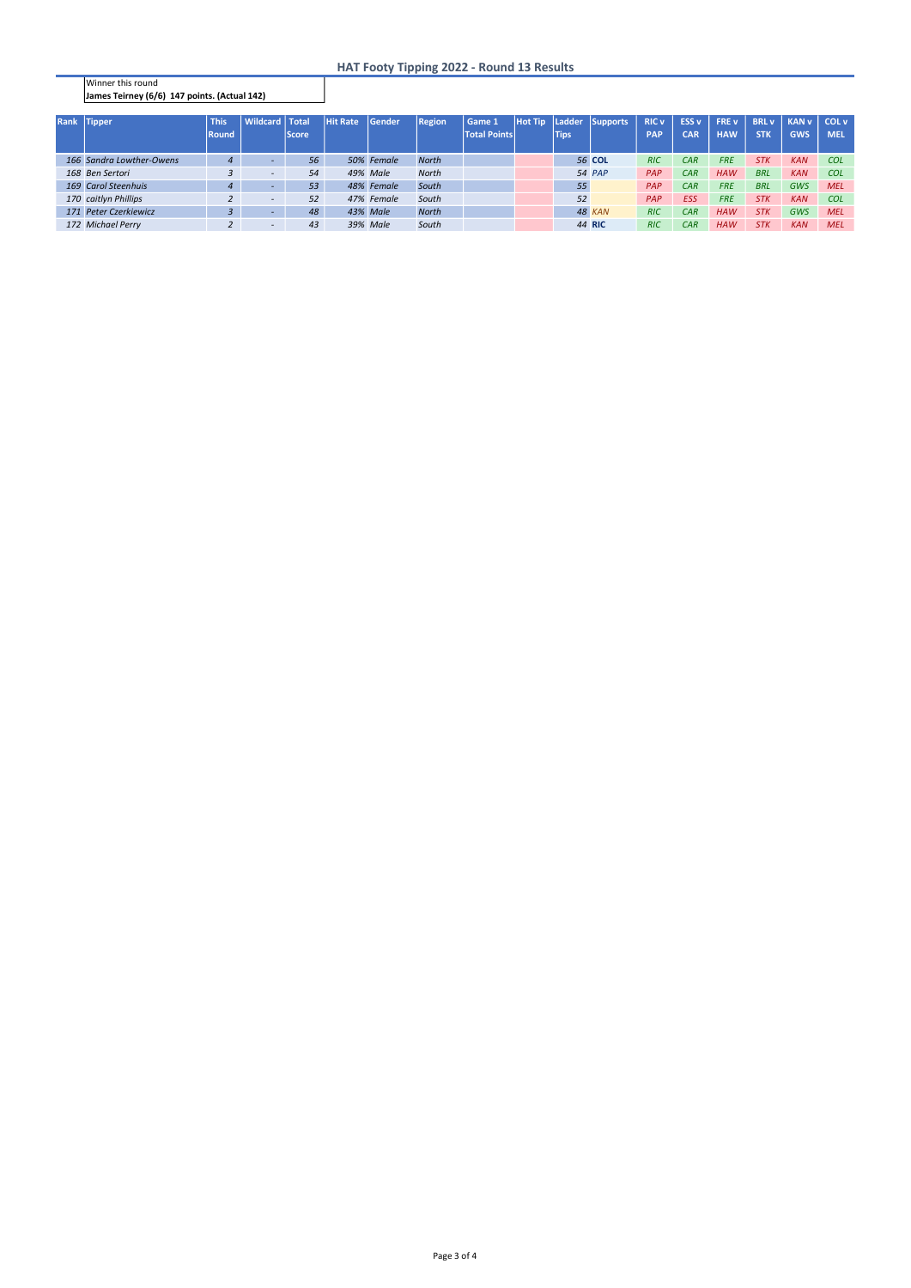Winner this round James Teirney (6/6) 147 points. (Actual 142)

## HAT Footy Tipping 2022 - Round 13 Results

| Rank Tipper              | <b>This</b>  | <b>Wildcard</b>          | <b>Total</b> | <b>Hit Rate</b> | <b>Sender</b> | <b>Region</b> | Game 1              | <b>Hot Tip</b> | Ladder      | Supports      | <b>RIC v</b> | <b>ESS vi</b> | <b>FRE</b> v | <b>BRL v</b> | KAN v COL v |            |
|--------------------------|--------------|--------------------------|--------------|-----------------|---------------|---------------|---------------------|----------------|-------------|---------------|--------------|---------------|--------------|--------------|-------------|------------|
|                          | <b>Round</b> |                          | <b>Score</b> |                 |               |               | <b>Total Points</b> |                | <b>Tips</b> |               | <b>PAP</b>   | <b>CAR</b>    | <b>HAW</b>   | <b>STK</b>   | <b>GWS</b>  | <b>MEL</b> |
|                          |              |                          |              |                 |               |               |                     |                |             |               |              |               |              |              |             |            |
| 166 Sandra Lowther-Owens |              |                          | 56           |                 | 50% Female    | <b>North</b>  |                     |                |             | <b>56 COL</b> | <b>RIC</b>   | CAR           | <b>FRE</b>   | <b>STK</b>   | <b>KAN</b>  | <b>COL</b> |
| 168 Ben Sertori          |              | $\overline{\phantom{0}}$ | 54           |                 | 49% Male      | <b>North</b>  |                     |                |             | 54 PAP        | PAP          | CAR           | <b>HAW</b>   | <b>BRL</b>   | <b>KAN</b>  | <b>COL</b> |
| 169 Carol Steenhuis      |              | $\sim$                   | 53           |                 | 48% Female    | South         |                     |                | 55          |               | PAP          | CAR           | <b>FRE</b>   | <b>BRL</b>   | <b>GWS</b>  | <b>MEL</b> |
| 170 caitlyn Phillips     | ∠            | $\overline{\phantom{a}}$ | 52           |                 | 47% Female    | South         |                     |                | 52          |               | PAP          | <b>ESS</b>    | <b>FRE</b>   | <b>STK</b>   | <b>KAN</b>  | <b>COL</b> |
| 171 Peter Czerkiewicz    |              | $\sim$                   | 48           |                 | 43% Male      | <b>North</b>  |                     |                |             | <b>48 KAN</b> | <b>RIC</b>   | CAR           | <b>HAW</b>   | <b>STK</b>   | <b>GWS</b>  | <b>MEL</b> |
| 172 Michael Perry        |              | $\sim$                   | 43           |                 | 39% Male      | South         |                     |                |             | <b>44 RIC</b> | <b>RIC</b>   | <b>CAR</b>    | <b>HAW</b>   | <b>STK</b>   | <b>KAN</b>  | <b>MEL</b> |